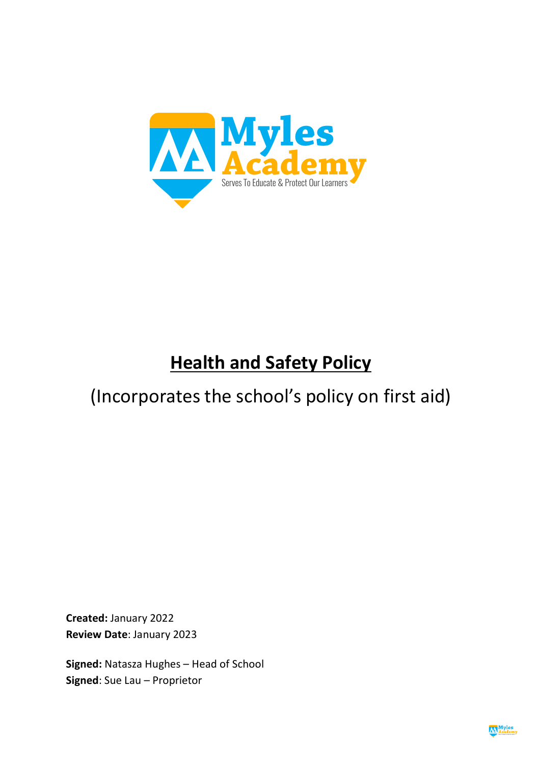

# **Health and Safety Policy**

## (Incorporates the school's policy on first aid)

**Created:** January 2022 **Review Date**: January 2023

**Signed:** Natasza Hughes – Head of School **Signed**: Sue Lau – Proprietor

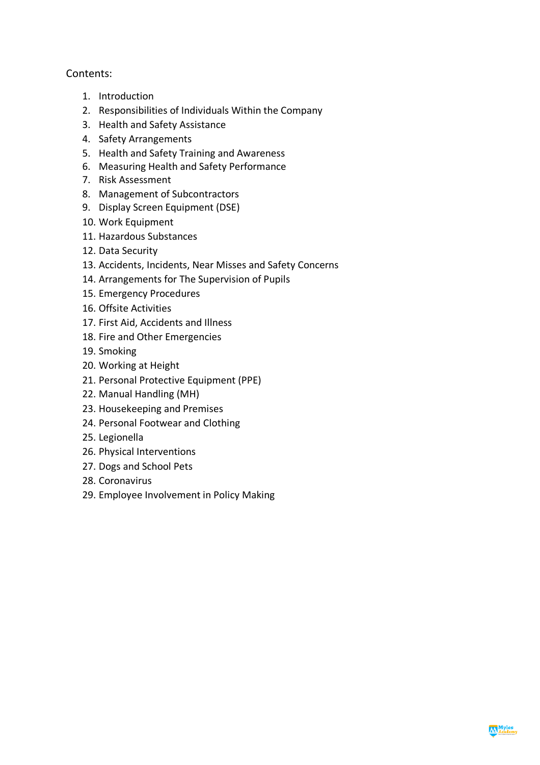## Contents:

- 1. Introduction
- 2. Responsibilities of Individuals Within the Company
- 3. Health and Safety Assistance
- 4. Safety Arrangements
- 5. Health and Safety Training and Awareness
- 6. Measuring Health and Safety Performance
- 7. Risk Assessment
- 8. Management of Subcontractors
- 9. Display Screen Equipment (DSE)
- 10. Work Equipment
- 11. Hazardous Substances
- 12. Data Security
- 13. Accidents, Incidents, Near Misses and Safety Concerns
- 14. Arrangements for The Supervision of Pupils
- 15. Emergency Procedures
- 16. Offsite Activities
- 17. First Aid, Accidents and Illness
- 18. Fire and Other Emergencies
- 19. Smoking
- 20. Working at Height
- 21. Personal Protective Equipment (PPE)
- 22. Manual Handling (MH)
- 23. Housekeeping and Premises
- 24. Personal Footwear and Clothing
- 25. Legionella
- 26. Physical Interventions
- 27. Dogs and School Pets
- 28. Coronavirus
- 29. Employee Involvement in Policy Making

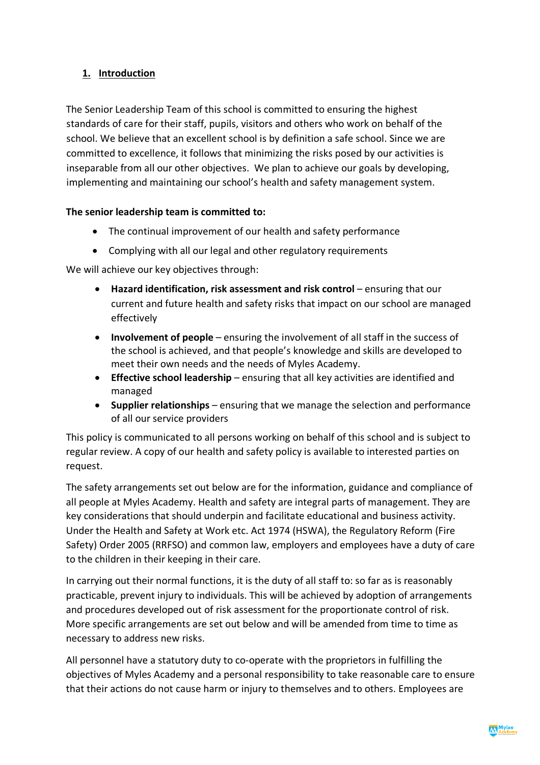## **1. Introduction**

The Senior Leadership Team of this school is committed to ensuring the highest standards of care for their staff, pupils, visitors and others who work on behalf of the school. We believe that an excellent school is by definition a safe school. Since we are committed to excellence, it follows that minimizing the risks posed by our activities is inseparable from all our other objectives. We plan to achieve our goals by developing, implementing and maintaining our school's health and safety management system.

#### **The senior leadership team is committed to:**

- The continual improvement of our health and safety performance
- Complying with all our legal and other regulatory requirements

We will achieve our key objectives through:

- Hazard identification, risk assessment and risk control ensuring that our current and future health and safety risks that impact on our school are managed effectively
- **Involvement of people** ensuring the involvement of all staff in the success of the school is achieved, and that people's knowledge and skills are developed to meet their own needs and the needs of Myles Academy.
- **Effective school leadership**  ensuring that all key activities are identified and managed
- **Supplier relationships** ensuring that we manage the selection and performance of all our service providers

This policy is communicated to all persons working on behalf of this school and is subject to regular review. A copy of our health and safety policy is available to interested parties on request.

The safety arrangements set out below are for the information, guidance and compliance of all people at Myles Academy. Health and safety are integral parts of management. They are key considerations that should underpin and facilitate educational and business activity. Under the Health and Safety at Work etc. Act 1974 (HSWA), the Regulatory Reform (Fire Safety) Order 2005 (RRFSO) and common law, employers and employees have a duty of care to the children in their keeping in their care.

In carrying out their normal functions, it is the duty of all staff to: so far as is reasonably practicable, prevent injury to individuals. This will be achieved by adoption of arrangements and procedures developed out of risk assessment for the proportionate control of risk. More specific arrangements are set out below and will be amended from time to time as necessary to address new risks.

All personnel have a statutory duty to co-operate with the proprietors in fulfilling the objectives of Myles Academy and a personal responsibility to take reasonable care to ensure that their actions do not cause harm or injury to themselves and to others. Employees are

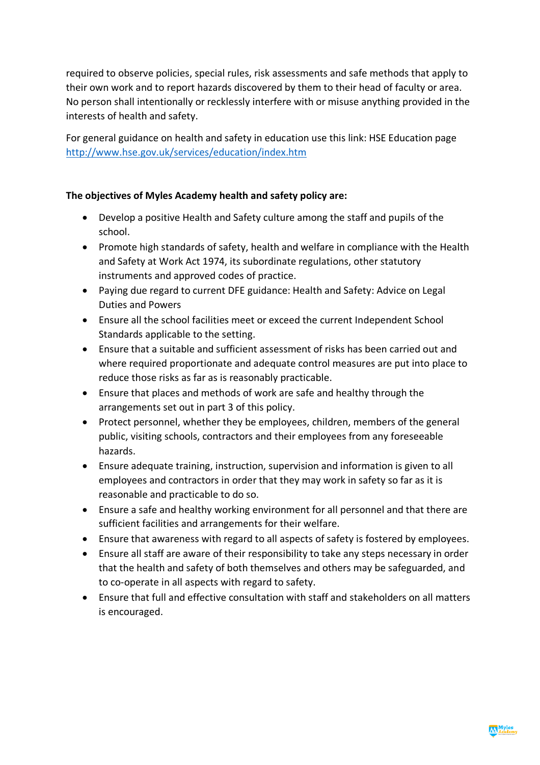required to observe policies, special rules, risk assessments and safe methods that apply to their own work and to report hazards discovered by them to their head of faculty or area. No person shall intentionally or recklessly interfere with or misuse anything provided in the interests of health and safety.

For general guidance on health and safety in education use this link: HSE Education page http://www.hse.gov.uk/services/education/index.htm

#### **The objectives of Myles Academy health and safety policy are:**

- Develop a positive Health and Safety culture among the staff and pupils of the school.
- Promote high standards of safety, health and welfare in compliance with the Health and Safety at Work Act 1974, its subordinate regulations, other statutory instruments and approved codes of practice.
- Paying due regard to current DFE guidance: Health and Safety: Advice on Legal Duties and Powers
- Ensure all the school facilities meet or exceed the current Independent School Standards applicable to the setting.
- Ensure that a suitable and sufficient assessment of risks has been carried out and where required proportionate and adequate control measures are put into place to reduce those risks as far as is reasonably practicable.
- Ensure that places and methods of work are safe and healthy through the arrangements set out in part 3 of this policy.
- Protect personnel, whether they be employees, children, members of the general public, visiting schools, contractors and their employees from any foreseeable hazards.
- Ensure adequate training, instruction, supervision and information is given to all employees and contractors in order that they may work in safety so far as it is reasonable and practicable to do so.
- Ensure a safe and healthy working environment for all personnel and that there are sufficient facilities and arrangements for their welfare.
- Ensure that awareness with regard to all aspects of safety is fostered by employees.
- Ensure all staff are aware of their responsibility to take any steps necessary in order that the health and safety of both themselves and others may be safeguarded, and to co-operate in all aspects with regard to safety.
- Ensure that full and effective consultation with staff and stakeholders on all matters is encouraged.

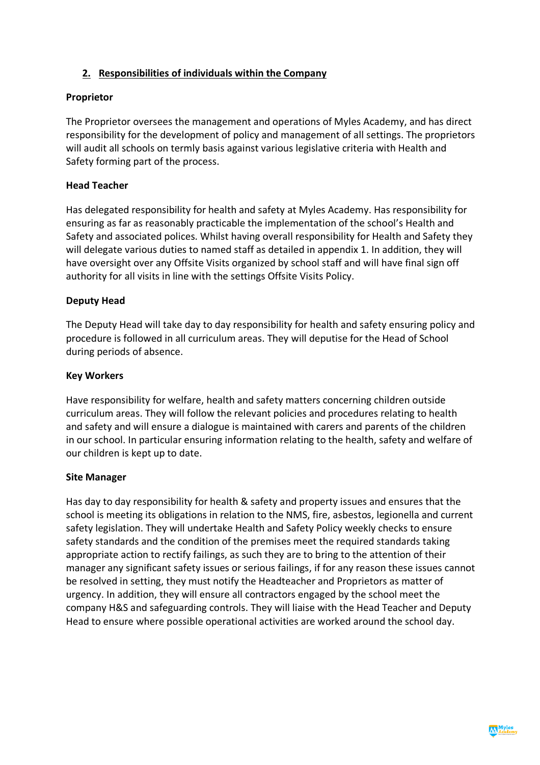## **2. Responsibilities of individuals within the Company**

#### **Proprietor**

The Proprietor oversees the management and operations of Myles Academy, and has direct responsibility for the development of policy and management of all settings. The proprietors will audit all schools on termly basis against various legislative criteria with Health and Safety forming part of the process.

#### **Head Teacher**

Has delegated responsibility for health and safety at Myles Academy. Has responsibility for ensuring as far as reasonably practicable the implementation of the school's Health and Safety and associated polices. Whilst having overall responsibility for Health and Safety they will delegate various duties to named staff as detailed in appendix 1. In addition, they will have oversight over any Offsite Visits organized by school staff and will have final sign off authority for all visits in line with the settings Offsite Visits Policy.

#### **Deputy Head**

The Deputy Head will take day to day responsibility for health and safety ensuring policy and procedure is followed in all curriculum areas. They will deputise for the Head of School during periods of absence.

#### **Key Workers**

Have responsibility for welfare, health and safety matters concerning children outside curriculum areas. They will follow the relevant policies and procedures relating to health and safety and will ensure a dialogue is maintained with carers and parents of the children in our school. In particular ensuring information relating to the health, safety and welfare of our children is kept up to date.

#### **Site Manager**

Has day to day responsibility for health & safety and property issues and ensures that the school is meeting its obligations in relation to the NMS, fire, asbestos, legionella and current safety legislation. They will undertake Health and Safety Policy weekly checks to ensure safety standards and the condition of the premises meet the required standards taking appropriate action to rectify failings, as such they are to bring to the attention of their manager any significant safety issues or serious failings, if for any reason these issues cannot be resolved in setting, they must notify the Headteacher and Proprietors as matter of urgency. In addition, they will ensure all contractors engaged by the school meet the company H&S and safeguarding controls. They will liaise with the Head Teacher and Deputy Head to ensure where possible operational activities are worked around the school day.

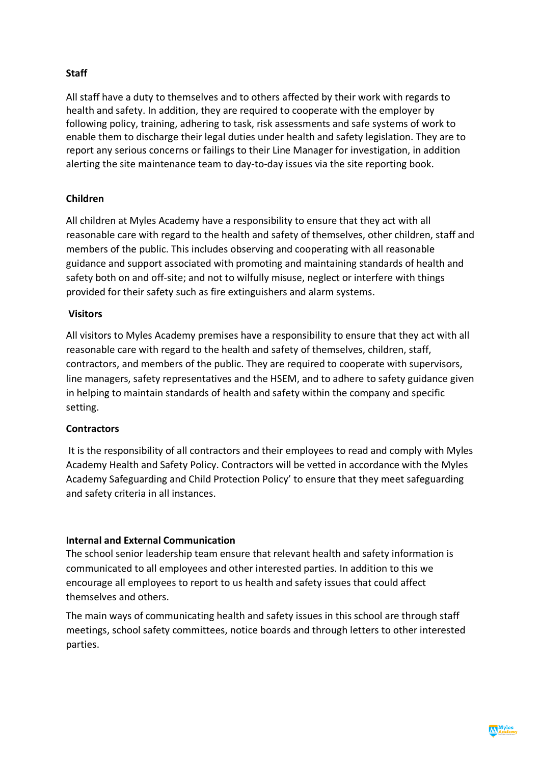#### **Staff**

All staff have a duty to themselves and to others affected by their work with regards to health and safety. In addition, they are required to cooperate with the employer by following policy, training, adhering to task, risk assessments and safe systems of work to enable them to discharge their legal duties under health and safety legislation. They are to report any serious concerns or failings to their Line Manager for investigation, in addition alerting the site maintenance team to day-to-day issues via the site reporting book.

#### **Children**

All children at Myles Academy have a responsibility to ensure that they act with all reasonable care with regard to the health and safety of themselves, other children, staff and members of the public. This includes observing and cooperating with all reasonable guidance and support associated with promoting and maintaining standards of health and safety both on and off-site; and not to wilfully misuse, neglect or interfere with things provided for their safety such as fire extinguishers and alarm systems.

#### **Visitors**

All visitors to Myles Academy premises have a responsibility to ensure that they act with all reasonable care with regard to the health and safety of themselves, children, staff, contractors, and members of the public. They are required to cooperate with supervisors, line managers, safety representatives and the HSEM, and to adhere to safety guidance given in helping to maintain standards of health and safety within the company and specific setting.

#### **Contractors**

It is the responsibility of all contractors and their employees to read and comply with Myles Academy Health and Safety Policy. Contractors will be vetted in accordance with the Myles Academy Safeguarding and Child Protection Policy' to ensure that they meet safeguarding and safety criteria in all instances.

#### **Internal and External Communication**

The school senior leadership team ensure that relevant health and safety information is communicated to all employees and other interested parties. In addition to this we encourage all employees to report to us health and safety issues that could affect themselves and others.

The main ways of communicating health and safety issues in this school are through staff meetings, school safety committees, notice boards and through letters to other interested parties.

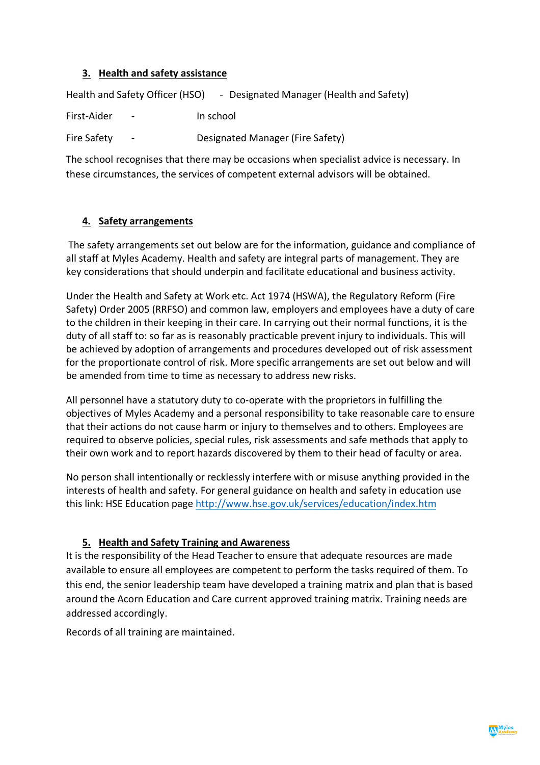#### **3. Health and safety assistance**

Health and Safety Officer (HSO) - Designated Manager (Health and Safety)

First-Aider - In school

Fire Safety - Designated Manager (Fire Safety)

The school recognises that there may be occasions when specialist advice is necessary. In these circumstances, the services of competent external advisors will be obtained.

## **4. Safety arrangements**

The safety arrangements set out below are for the information, guidance and compliance of all staff at Myles Academy. Health and safety are integral parts of management. They are key considerations that should underpin and facilitate educational and business activity.

Under the Health and Safety at Work etc. Act 1974 (HSWA), the Regulatory Reform (Fire Safety) Order 2005 (RRFSO) and common law, employers and employees have a duty of care to the children in their keeping in their care. In carrying out their normal functions, it is the duty of all staff to: so far as is reasonably practicable prevent injury to individuals. This will be achieved by adoption of arrangements and procedures developed out of risk assessment for the proportionate control of risk. More specific arrangements are set out below and will be amended from time to time as necessary to address new risks.

All personnel have a statutory duty to co-operate with the proprietors in fulfilling the objectives of Myles Academy and a personal responsibility to take reasonable care to ensure that their actions do not cause harm or injury to themselves and to others. Employees are required to observe policies, special rules, risk assessments and safe methods that apply to their own work and to report hazards discovered by them to their head of faculty or area.

No person shall intentionally or recklessly interfere with or misuse anything provided in the interests of health and safety. For general guidance on health and safety in education use this link: HSE Education page http://www.hse.gov.uk/services/education/index.htm

## **5. Health and Safety Training and Awareness**

It is the responsibility of the Head Teacher to ensure that adequate resources are made available to ensure all employees are competent to perform the tasks required of them. To this end, the senior leadership team have developed a training matrix and plan that is based around the Acorn Education and Care current approved training matrix. Training needs are addressed accordingly.

Records of all training are maintained.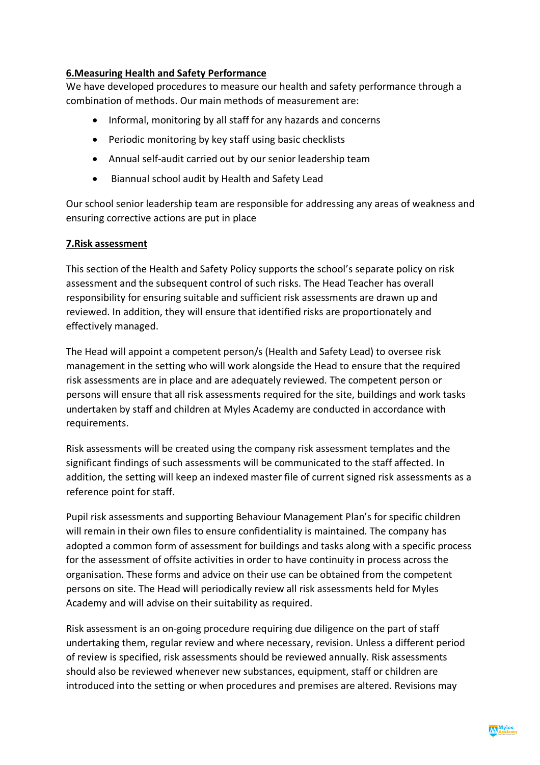#### **6.Measuring Health and Safety Performance**

We have developed procedures to measure our health and safety performance through a combination of methods. Our main methods of measurement are:

- Informal, monitoring by all staff for any hazards and concerns
- Periodic monitoring by key staff using basic checklists
- Annual self-audit carried out by our senior leadership team
- Biannual school audit by Health and Safety Lead

Our school senior leadership team are responsible for addressing any areas of weakness and ensuring corrective actions are put in place

#### **7.Risk assessment**

This section of the Health and Safety Policy supports the school's separate policy on risk assessment and the subsequent control of such risks. The Head Teacher has overall responsibility for ensuring suitable and sufficient risk assessments are drawn up and reviewed. In addition, they will ensure that identified risks are proportionately and effectively managed.

The Head will appoint a competent person/s (Health and Safety Lead) to oversee risk management in the setting who will work alongside the Head to ensure that the required risk assessments are in place and are adequately reviewed. The competent person or persons will ensure that all risk assessments required for the site, buildings and work tasks undertaken by staff and children at Myles Academy are conducted in accordance with requirements.

Risk assessments will be created using the company risk assessment templates and the significant findings of such assessments will be communicated to the staff affected. In addition, the setting will keep an indexed master file of current signed risk assessments as a reference point for staff.

Pupil risk assessments and supporting Behaviour Management Plan's for specific children will remain in their own files to ensure confidentiality is maintained. The company has adopted a common form of assessment for buildings and tasks along with a specific process for the assessment of offsite activities in order to have continuity in process across the organisation. These forms and advice on their use can be obtained from the competent persons on site. The Head will periodically review all risk assessments held for Myles Academy and will advise on their suitability as required.

Risk assessment is an on-going procedure requiring due diligence on the part of staff undertaking them, regular review and where necessary, revision. Unless a different period of review is specified, risk assessments should be reviewed annually. Risk assessments should also be reviewed whenever new substances, equipment, staff or children are introduced into the setting or when procedures and premises are altered. Revisions may

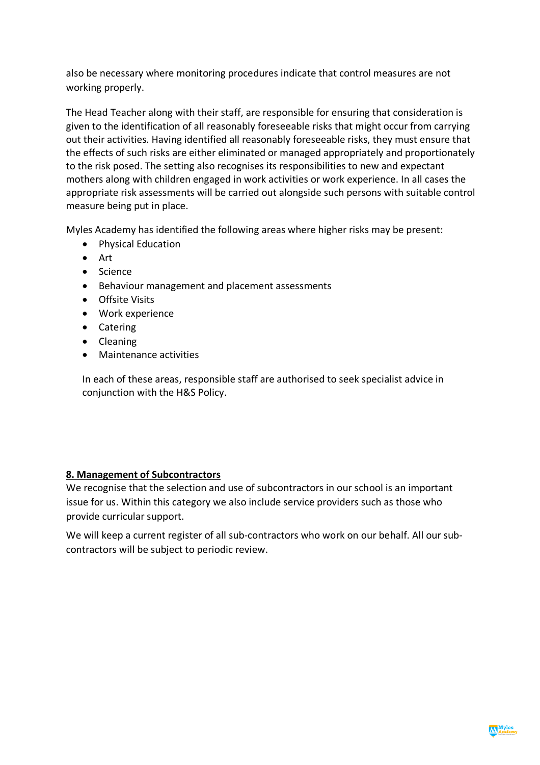also be necessary where monitoring procedures indicate that control measures are not working properly.

The Head Teacher along with their staff, are responsible for ensuring that consideration is given to the identification of all reasonably foreseeable risks that might occur from carrying out their activities. Having identified all reasonably foreseeable risks, they must ensure that the effects of such risks are either eliminated or managed appropriately and proportionately to the risk posed. The setting also recognises its responsibilities to new and expectant mothers along with children engaged in work activities or work experience. In all cases the appropriate risk assessments will be carried out alongside such persons with suitable control measure being put in place.

Myles Academy has identified the following areas where higher risks may be present:

- Physical Education
- Art
- Science
- Behaviour management and placement assessments
- Offsite Visits
- Work experience
- Catering
- Cleaning
- Maintenance activities

In each of these areas, responsible staff are authorised to seek specialist advice in conjunction with the H&S Policy.

#### **8. Management of Subcontractors**

We recognise that the selection and use of subcontractors in our school is an important issue for us. Within this category we also include service providers such as those who provide curricular support.

We will keep a current register of all sub-contractors who work on our behalf. All our subcontractors will be subject to periodic review.

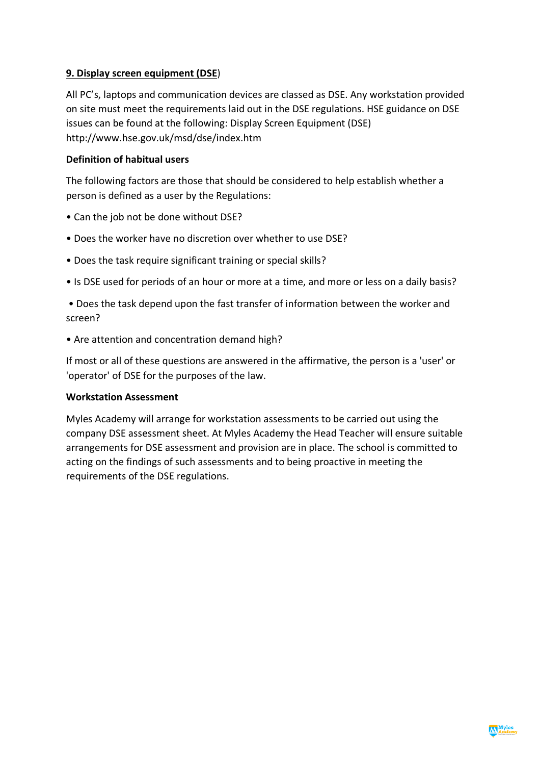#### **9. Display screen equipment (DSE**)

All PC's, laptops and communication devices are classed as DSE. Any workstation provided on site must meet the requirements laid out in the DSE regulations. HSE guidance on DSE issues can be found at the following: Display Screen Equipment (DSE) http://www.hse.gov.uk/msd/dse/index.htm

#### **Definition of habitual users**

The following factors are those that should be considered to help establish whether a person is defined as a user by the Regulations:

- Can the job not be done without DSE?
- Does the worker have no discretion over whether to use DSE?
- Does the task require significant training or special skills?
- Is DSE used for periods of an hour or more at a time, and more or less on a daily basis?

• Does the task depend upon the fast transfer of information between the worker and screen?

• Are attention and concentration demand high?

If most or all of these questions are answered in the affirmative, the person is a 'user' or 'operator' of DSE for the purposes of the law.

#### **Workstation Assessment**

Myles Academy will arrange for workstation assessments to be carried out using the company DSE assessment sheet. At Myles Academy the Head Teacher will ensure suitable arrangements for DSE assessment and provision are in place. The school is committed to acting on the findings of such assessments and to being proactive in meeting the requirements of the DSE regulations.

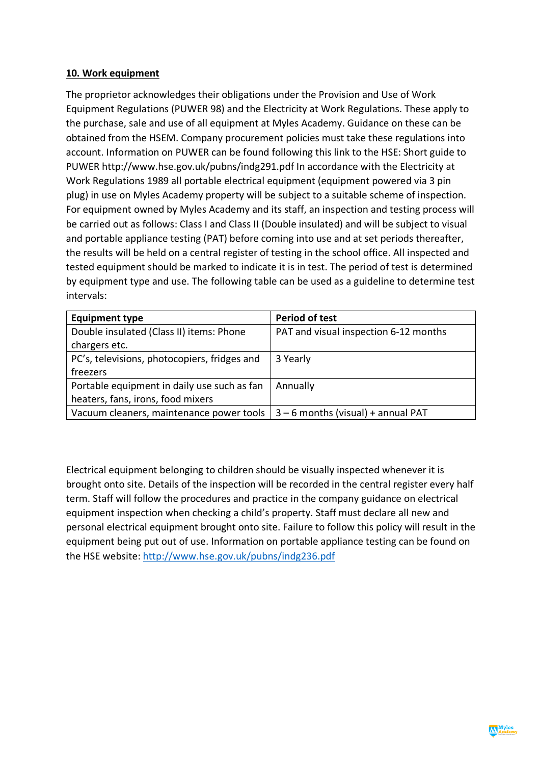#### **10. Work equipment**

The proprietor acknowledges their obligations under the Provision and Use of Work Equipment Regulations (PUWER 98) and the Electricity at Work Regulations. These apply to the purchase, sale and use of all equipment at Myles Academy. Guidance on these can be obtained from the HSEM. Company procurement policies must take these regulations into account. Information on PUWER can be found following this link to the HSE: Short guide to PUWER http://www.hse.gov.uk/pubns/indg291.pdf In accordance with the Electricity at Work Regulations 1989 all portable electrical equipment (equipment powered via 3 pin plug) in use on Myles Academy property will be subject to a suitable scheme of inspection. For equipment owned by Myles Academy and its staff, an inspection and testing process will be carried out as follows: Class I and Class II (Double insulated) and will be subject to visual and portable appliance testing (PAT) before coming into use and at set periods thereafter, the results will be held on a central register of testing in the school office. All inspected and tested equipment should be marked to indicate it is in test. The period of test is determined by equipment type and use. The following table can be used as a guideline to determine test intervals:

| <b>Equipment type</b>                        | <b>Period of test</b>                 |
|----------------------------------------------|---------------------------------------|
| Double insulated (Class II) items: Phone     | PAT and visual inspection 6-12 months |
| chargers etc.                                |                                       |
| PC's, televisions, photocopiers, fridges and | 3 Yearly                              |
| freezers                                     |                                       |
| Portable equipment in daily use such as fan  | Annually                              |
| heaters, fans, irons, food mixers            |                                       |
| Vacuum cleaners, maintenance power tools     | $3 - 6$ months (visual) + annual PAT  |

Electrical equipment belonging to children should be visually inspected whenever it is brought onto site. Details of the inspection will be recorded in the central register every half term. Staff will follow the procedures and practice in the company guidance on electrical equipment inspection when checking a child's property. Staff must declare all new and personal electrical equipment brought onto site. Failure to follow this policy will result in the equipment being put out of use. Information on portable appliance testing can be found on the HSE website: http://www.hse.gov.uk/pubns/indg236.pdf

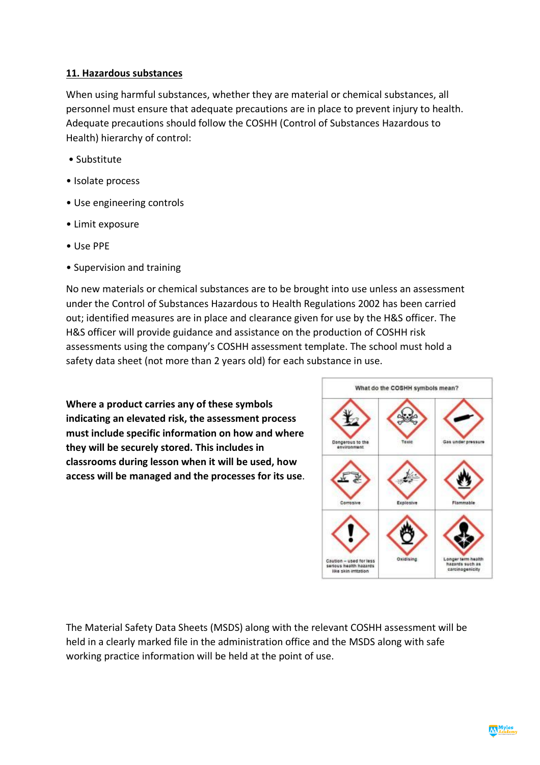#### **11. Hazardous substances**

When using harmful substances, whether they are material or chemical substances, all personnel must ensure that adequate precautions are in place to prevent injury to health. Adequate precautions should follow the COSHH (Control of Substances Hazardous to Health) hierarchy of control:

- Substitute
- Isolate process
- Use engineering controls
- Limit exposure
- Use PPE
- Supervision and training

No new materials or chemical substances are to be brought into use unless an assessment under the Control of Substances Hazardous to Health Regulations 2002 has been carried out; identified measures are in place and clearance given for use by the H&S officer. The H&S officer will provide guidance and assistance on the production of COSHH risk assessments using the company's COSHH assessment template. The school must hold a safety data sheet (not more than 2 years old) for each substance in use.

**Where a product carries any of these symbols indicating an elevated risk, the assessment process must include specific information on how and where they will be securely stored. This includes in classrooms during lesson when it will be used, how access will be managed and the processes for its use**.



The Material Safety Data Sheets (MSDS) along with the relevant COSHH assessment will be held in a clearly marked file in the administration office and the MSDS along with safe working practice information will be held at the point of use.

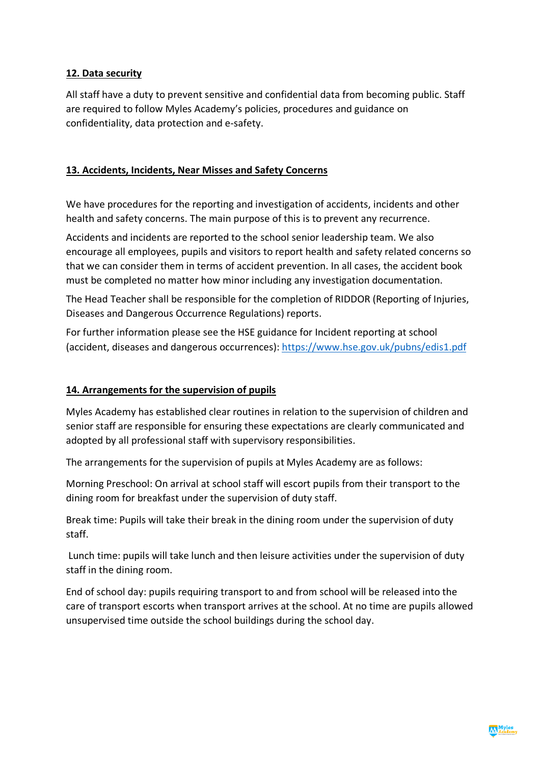#### **12. Data security**

All staff have a duty to prevent sensitive and confidential data from becoming public. Staff are required to follow Myles Academy's policies, procedures and guidance on confidentiality, data protection and e-safety.

#### **13. Accidents, Incidents, Near Misses and Safety Concerns**

We have procedures for the reporting and investigation of accidents, incidents and other health and safety concerns. The main purpose of this is to prevent any recurrence.

Accidents and incidents are reported to the school senior leadership team. We also encourage all employees, pupils and visitors to report health and safety related concerns so that we can consider them in terms of accident prevention. In all cases, the accident book must be completed no matter how minor including any investigation documentation.

The Head Teacher shall be responsible for the completion of RIDDOR (Reporting of Injuries, Diseases and Dangerous Occurrence Regulations) reports.

For further information please see the HSE guidance for Incident reporting at school (accident, diseases and dangerous occurrences): https://www.hse.gov.uk/pubns/edis1.pdf

#### **14. Arrangements for the supervision of pupils**

Myles Academy has established clear routines in relation to the supervision of children and senior staff are responsible for ensuring these expectations are clearly communicated and adopted by all professional staff with supervisory responsibilities.

The arrangements for the supervision of pupils at Myles Academy are as follows:

Morning Preschool: On arrival at school staff will escort pupils from their transport to the dining room for breakfast under the supervision of duty staff.

Break time: Pupils will take their break in the dining room under the supervision of duty staff.

Lunch time: pupils will take lunch and then leisure activities under the supervision of duty staff in the dining room.

End of school day: pupils requiring transport to and from school will be released into the care of transport escorts when transport arrives at the school. At no time are pupils allowed unsupervised time outside the school buildings during the school day.

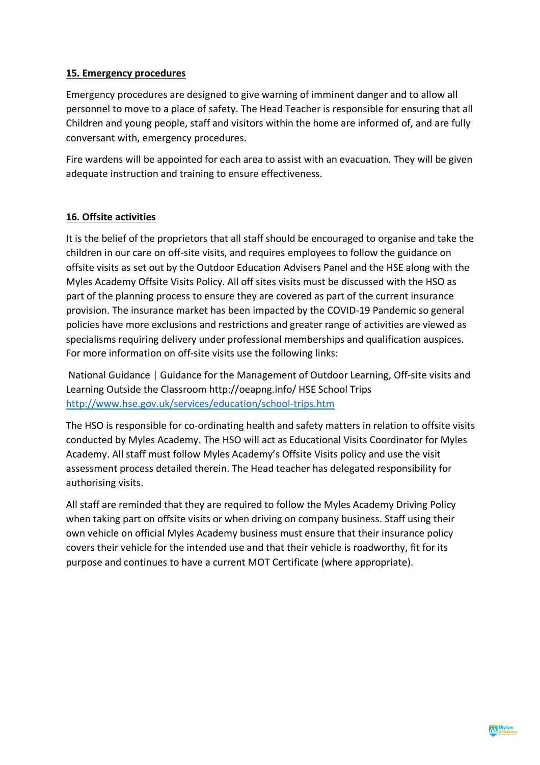#### **15. Emergency procedures**

Emergency procedures are designed to give warning of imminent danger and to allow all personnel to move to a place of safety. The Head Teacher is responsible for ensuring that all Children and young people, staff and visitors within the home are informed of, and are fully conversant with, emergency procedures.

Fire wardens will be appointed for each area to assist with an evacuation. They will be given adequate instruction and training to ensure effectiveness.

#### **16. Offsite activities**

It is the belief of the proprietors that all staff should be encouraged to organise and take the children in our care on off-site visits, and requires employees to follow the guidance on offsite visits as set out by the Outdoor Education Advisers Panel and the HSE along with the Myles Academy Offsite Visits Policy. All off sites visits must be discussed with the HSO as part of the planning process to ensure they are covered as part of the current insurance provision. The insurance market has been impacted by the COVID-19 Pandemic so general policies have more exclusions and restrictions and greater range of activities are viewed as specialisms requiring delivery under professional memberships and qualification auspices. For more information on off-site visits use the following links:

National Guidance | Guidance for the Management of Outdoor Learning, Off-site visits and Learning Outside the Classroom http://oeapng.info/ HSE School Trips http://www.hse.gov.uk/services/education/school-trips.htm

The HSO is responsible for co-ordinating health and safety matters in relation to offsite visits conducted by Myles Academy. The HSO will act as Educational Visits Coordinator for Myles Academy. All staff must follow Myles Academy's Offsite Visits policy and use the visit assessment process detailed therein. The Head teacher has delegated responsibility for authorising visits.

All staff are reminded that they are required to follow the Myles Academy Driving Policy when taking part on offsite visits or when driving on company business. Staff using their own vehicle on official Myles Academy business must ensure that their insurance policy covers their vehicle for the intended use and that their vehicle is roadworthy, fit for its purpose and continues to have a current MOT Certificate (where appropriate).

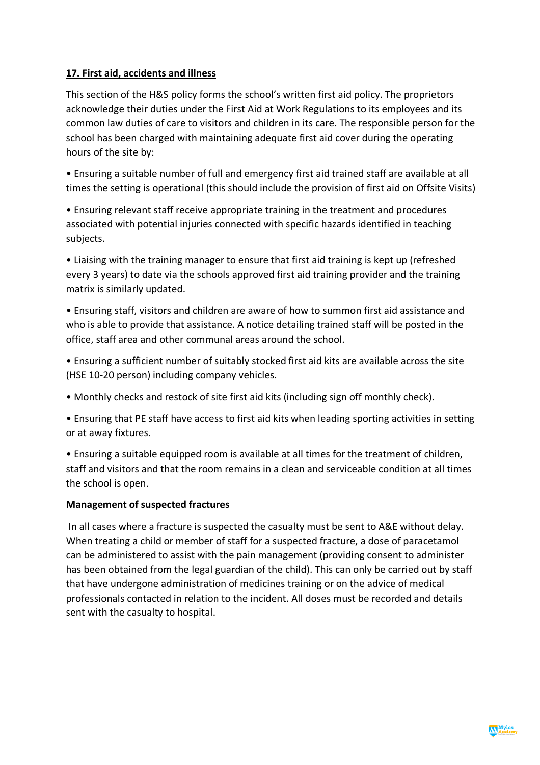## **17. First aid, accidents and illness**

This section of the H&S policy forms the school's written first aid policy. The proprietors acknowledge their duties under the First Aid at Work Regulations to its employees and its common law duties of care to visitors and children in its care. The responsible person for the school has been charged with maintaining adequate first aid cover during the operating hours of the site by:

• Ensuring a suitable number of full and emergency first aid trained staff are available at all times the setting is operational (this should include the provision of first aid on Offsite Visits)

• Ensuring relevant staff receive appropriate training in the treatment and procedures associated with potential injuries connected with specific hazards identified in teaching subjects.

• Liaising with the training manager to ensure that first aid training is kept up (refreshed every 3 years) to date via the schools approved first aid training provider and the training matrix is similarly updated.

• Ensuring staff, visitors and children are aware of how to summon first aid assistance and who is able to provide that assistance. A notice detailing trained staff will be posted in the office, staff area and other communal areas around the school.

- Ensuring a sufficient number of suitably stocked first aid kits are available across the site (HSE 10-20 person) including company vehicles.
- Monthly checks and restock of site first aid kits (including sign off monthly check).

• Ensuring that PE staff have access to first aid kits when leading sporting activities in setting or at away fixtures.

• Ensuring a suitable equipped room is available at all times for the treatment of children, staff and visitors and that the room remains in a clean and serviceable condition at all times the school is open.

#### **Management of suspected fractures**

In all cases where a fracture is suspected the casualty must be sent to A&E without delay. When treating a child or member of staff for a suspected fracture, a dose of paracetamol can be administered to assist with the pain management (providing consent to administer has been obtained from the legal guardian of the child). This can only be carried out by staff that have undergone administration of medicines training or on the advice of medical professionals contacted in relation to the incident. All doses must be recorded and details sent with the casualty to hospital.

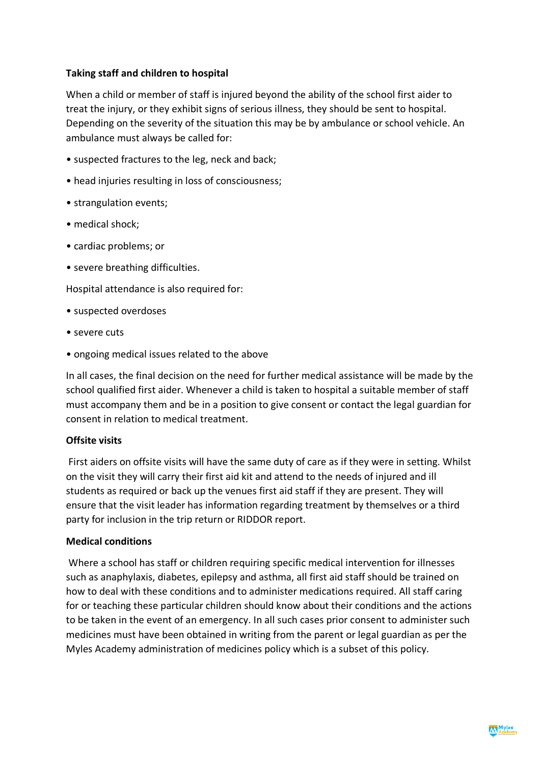#### **Taking staff and children to hospital**

When a child or member of staff is injured beyond the ability of the school first aider to treat the injury, or they exhibit signs of serious illness, they should be sent to hospital. Depending on the severity of the situation this may be by ambulance or school vehicle. An ambulance must always be called for:

- suspected fractures to the leg, neck and back;
- head injuries resulting in loss of consciousness;
- strangulation events;
- medical shock;
- cardiac problems; or
- severe breathing difficulties.

Hospital attendance is also required for:

- suspected overdoses
- severe cuts
- ongoing medical issues related to the above

In all cases, the final decision on the need for further medical assistance will be made by the school qualified first aider. Whenever a child is taken to hospital a suitable member of staff must accompany them and be in a position to give consent or contact the legal guardian for consent in relation to medical treatment.

#### **Offsite visits**

First aiders on offsite visits will have the same duty of care as if they were in setting. Whilst on the visit they will carry their first aid kit and attend to the needs of injured and ill students as required or back up the venues first aid staff if they are present. They will ensure that the visit leader has information regarding treatment by themselves or a third party for inclusion in the trip return or RIDDOR report.

#### **Medical conditions**

Where a school has staff or children requiring specific medical intervention for illnesses such as anaphylaxis, diabetes, epilepsy and asthma, all first aid staff should be trained on how to deal with these conditions and to administer medications required. All staff caring for or teaching these particular children should know about their conditions and the actions to be taken in the event of an emergency. In all such cases prior consent to administer such medicines must have been obtained in writing from the parent or legal guardian as per the Myles Academy administration of medicines policy which is a subset of this policy.

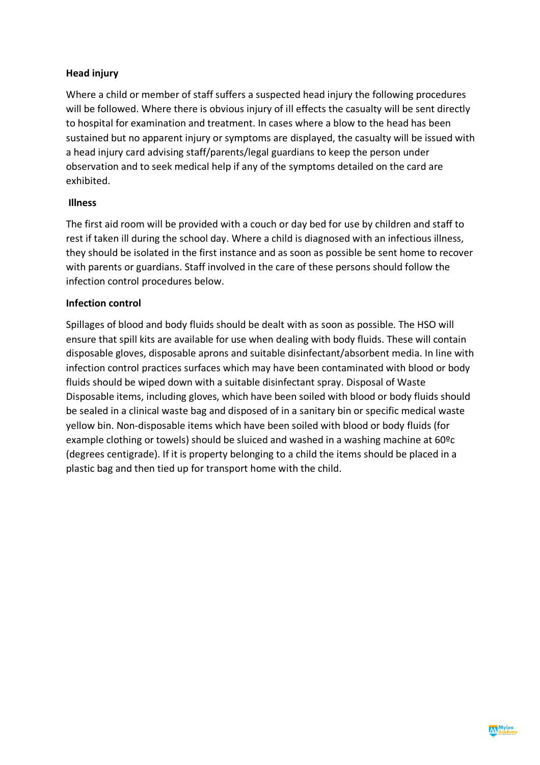#### **Head injury**

Where a child or member of staff suffers a suspected head injury the following procedures will be followed. Where there is obvious injury of ill effects the casualty will be sent directly to hospital for examination and treatment. In cases where a blow to the head has been sustained but no apparent injury or symptoms are displayed, the casualty will be issued with a head injury card advising staff/parents/legal guardians to keep the person under observation and to seek medical help if any of the symptoms detailed on the card are exhibited.

#### **Illness**

The first aid room will be provided with a couch or day bed for use by children and staff to rest if taken ill during the school day. Where a child is diagnosed with an infectious illness, they should be isolated in the first instance and as soon as possible be sent home to recover with parents or guardians. Staff involved in the care of these persons should follow the infection control procedures below.

#### **Infection control**

Spillages of blood and body fluids should be dealt with as soon as possible. The HSO will ensure that spill kits are available for use when dealing with body fluids. These will contain disposable gloves, disposable aprons and suitable disinfectant/absorbent media. In line with infection control practices surfaces which may have been contaminated with blood or body fluids should be wiped down with a suitable disinfectant spray. Disposal of Waste Disposable items, including gloves, which have been soiled with blood or body fluids should be sealed in a clinical waste bag and disposed of in a sanitary bin or specific medical waste yellow bin. Non-disposable items which have been soiled with blood or body fluids (for example clothing or towels) should be sluiced and washed in a washing machine at 60ºc (degrees centigrade). If it is property belonging to a child the items should be placed in a plastic bag and then tied up for transport home with the child.

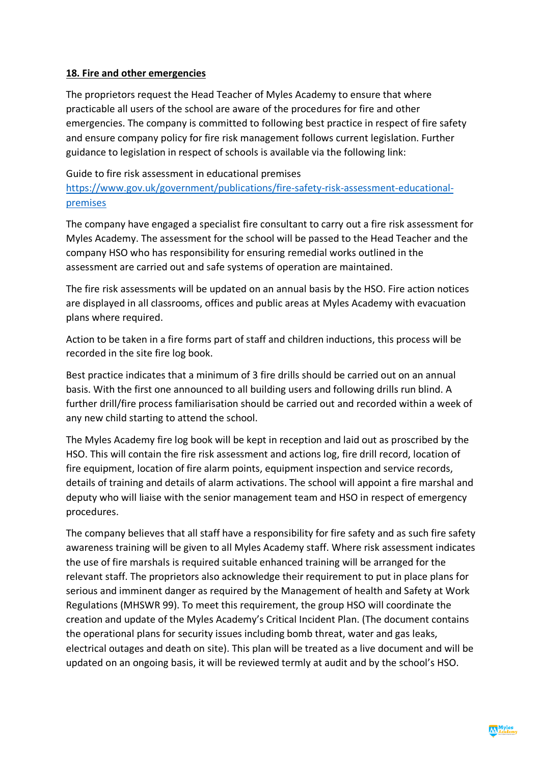#### **18. Fire and other emergencies**

The proprietors request the Head Teacher of Myles Academy to ensure that where practicable all users of the school are aware of the procedures for fire and other emergencies. The company is committed to following best practice in respect of fire safety and ensure company policy for fire risk management follows current legislation. Further guidance to legislation in respect of schools is available via the following link:

#### Guide to fire risk assessment in educational premises

https://www.gov.uk/government/publications/fire-safety-risk-assessment-educationalpremises

The company have engaged a specialist fire consultant to carry out a fire risk assessment for Myles Academy. The assessment for the school will be passed to the Head Teacher and the company HSO who has responsibility for ensuring remedial works outlined in the assessment are carried out and safe systems of operation are maintained.

The fire risk assessments will be updated on an annual basis by the HSO. Fire action notices are displayed in all classrooms, offices and public areas at Myles Academy with evacuation plans where required.

Action to be taken in a fire forms part of staff and children inductions, this process will be recorded in the site fire log book.

Best practice indicates that a minimum of 3 fire drills should be carried out on an annual basis. With the first one announced to all building users and following drills run blind. A further drill/fire process familiarisation should be carried out and recorded within a week of any new child starting to attend the school.

The Myles Academy fire log book will be kept in reception and laid out as proscribed by the HSO. This will contain the fire risk assessment and actions log, fire drill record, location of fire equipment, location of fire alarm points, equipment inspection and service records, details of training and details of alarm activations. The school will appoint a fire marshal and deputy who will liaise with the senior management team and HSO in respect of emergency procedures.

The company believes that all staff have a responsibility for fire safety and as such fire safety awareness training will be given to all Myles Academy staff. Where risk assessment indicates the use of fire marshals is required suitable enhanced training will be arranged for the relevant staff. The proprietors also acknowledge their requirement to put in place plans for serious and imminent danger as required by the Management of health and Safety at Work Regulations (MHSWR 99). To meet this requirement, the group HSO will coordinate the creation and update of the Myles Academy's Critical Incident Plan. (The document contains the operational plans for security issues including bomb threat, water and gas leaks, electrical outages and death on site). This plan will be treated as a live document and will be updated on an ongoing basis, it will be reviewed termly at audit and by the school's HSO.

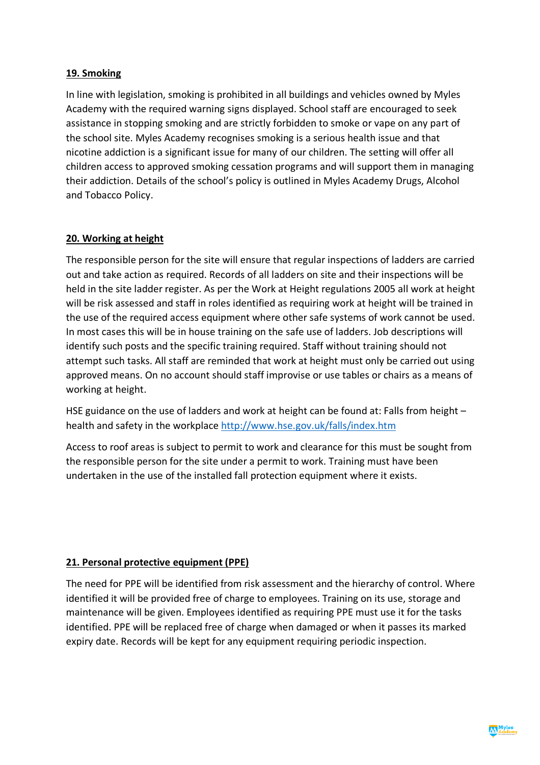## **19. Smoking**

In line with legislation, smoking is prohibited in all buildings and vehicles owned by Myles Academy with the required warning signs displayed. School staff are encouraged to seek assistance in stopping smoking and are strictly forbidden to smoke or vape on any part of the school site. Myles Academy recognises smoking is a serious health issue and that nicotine addiction is a significant issue for many of our children. The setting will offer all children access to approved smoking cessation programs and will support them in managing their addiction. Details of the school's policy is outlined in Myles Academy Drugs, Alcohol and Tobacco Policy.

#### **20. Working at height**

The responsible person for the site will ensure that regular inspections of ladders are carried out and take action as required. Records of all ladders on site and their inspections will be held in the site ladder register. As per the Work at Height regulations 2005 all work at height will be risk assessed and staff in roles identified as requiring work at height will be trained in the use of the required access equipment where other safe systems of work cannot be used. In most cases this will be in house training on the safe use of ladders. Job descriptions will identify such posts and the specific training required. Staff without training should not attempt such tasks. All staff are reminded that work at height must only be carried out using approved means. On no account should staff improvise or use tables or chairs as a means of working at height.

HSE guidance on the use of ladders and work at height can be found at: Falls from height health and safety in the workplace http://www.hse.gov.uk/falls/index.htm

Access to roof areas is subject to permit to work and clearance for this must be sought from the responsible person for the site under a permit to work. Training must have been undertaken in the use of the installed fall protection equipment where it exists.

## **21. Personal protective equipment (PPE)**

The need for PPE will be identified from risk assessment and the hierarchy of control. Where identified it will be provided free of charge to employees. Training on its use, storage and maintenance will be given. Employees identified as requiring PPE must use it for the tasks identified. PPE will be replaced free of charge when damaged or when it passes its marked expiry date. Records will be kept for any equipment requiring periodic inspection.

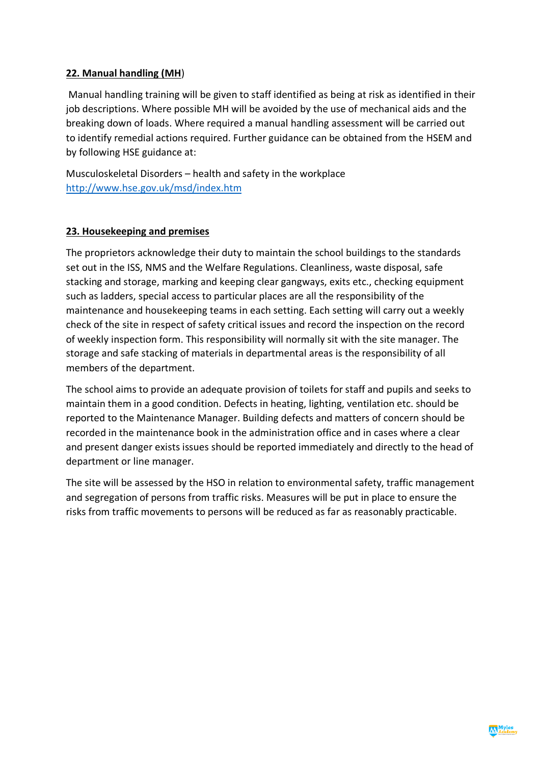#### **22. Manual handling (MH**)

Manual handling training will be given to staff identified as being at risk as identified in their job descriptions. Where possible MH will be avoided by the use of mechanical aids and the breaking down of loads. Where required a manual handling assessment will be carried out to identify remedial actions required. Further guidance can be obtained from the HSEM and by following HSE guidance at:

Musculoskeletal Disorders – health and safety in the workplace http://www.hse.gov.uk/msd/index.htm

#### **23. Housekeeping and premises**

The proprietors acknowledge their duty to maintain the school buildings to the standards set out in the ISS, NMS and the Welfare Regulations. Cleanliness, waste disposal, safe stacking and storage, marking and keeping clear gangways, exits etc., checking equipment such as ladders, special access to particular places are all the responsibility of the maintenance and housekeeping teams in each setting. Each setting will carry out a weekly check of the site in respect of safety critical issues and record the inspection on the record of weekly inspection form. This responsibility will normally sit with the site manager. The storage and safe stacking of materials in departmental areas is the responsibility of all members of the department.

The school aims to provide an adequate provision of toilets for staff and pupils and seeks to maintain them in a good condition. Defects in heating, lighting, ventilation etc. should be reported to the Maintenance Manager. Building defects and matters of concern should be recorded in the maintenance book in the administration office and in cases where a clear and present danger exists issues should be reported immediately and directly to the head of department or line manager.

The site will be assessed by the HSO in relation to environmental safety, traffic management and segregation of persons from traffic risks. Measures will be put in place to ensure the risks from traffic movements to persons will be reduced as far as reasonably practicable.

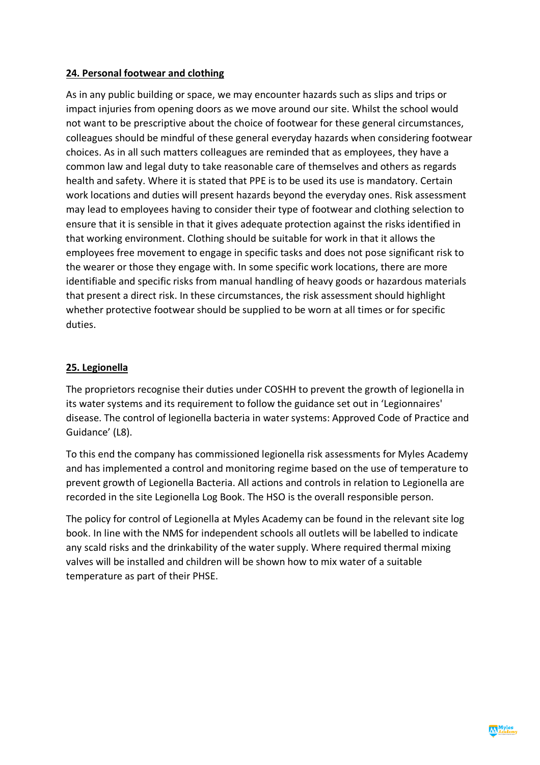## **24. Personal footwear and clothing**

As in any public building or space, we may encounter hazards such as slips and trips or impact injuries from opening doors as we move around our site. Whilst the school would not want to be prescriptive about the choice of footwear for these general circumstances, colleagues should be mindful of these general everyday hazards when considering footwear choices. As in all such matters colleagues are reminded that as employees, they have a common law and legal duty to take reasonable care of themselves and others as regards health and safety. Where it is stated that PPE is to be used its use is mandatory. Certain work locations and duties will present hazards beyond the everyday ones. Risk assessment may lead to employees having to consider their type of footwear and clothing selection to ensure that it is sensible in that it gives adequate protection against the risks identified in that working environment. Clothing should be suitable for work in that it allows the employees free movement to engage in specific tasks and does not pose significant risk to the wearer or those they engage with. In some specific work locations, there are more identifiable and specific risks from manual handling of heavy goods or hazardous materials that present a direct risk. In these circumstances, the risk assessment should highlight whether protective footwear should be supplied to be worn at all times or for specific duties.

#### **25. Legionella**

The proprietors recognise their duties under COSHH to prevent the growth of legionella in its water systems and its requirement to follow the guidance set out in 'Legionnaires' disease. The control of legionella bacteria in water systems: Approved Code of Practice and Guidance' (L8).

To this end the company has commissioned legionella risk assessments for Myles Academy and has implemented a control and monitoring regime based on the use of temperature to prevent growth of Legionella Bacteria. All actions and controls in relation to Legionella are recorded in the site Legionella Log Book. The HSO is the overall responsible person.

The policy for control of Legionella at Myles Academy can be found in the relevant site log book. In line with the NMS for independent schools all outlets will be labelled to indicate any scald risks and the drinkability of the water supply. Where required thermal mixing valves will be installed and children will be shown how to mix water of a suitable temperature as part of their PHSE.

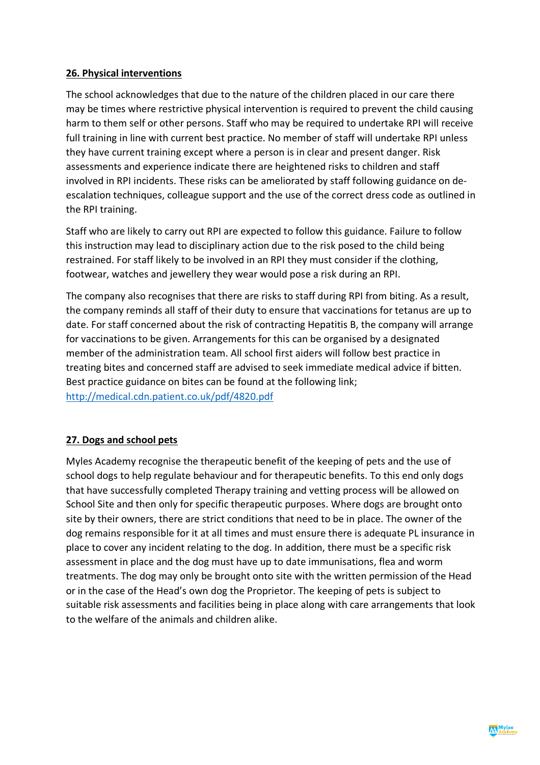#### **26. Physical interventions**

The school acknowledges that due to the nature of the children placed in our care there may be times where restrictive physical intervention is required to prevent the child causing harm to them self or other persons. Staff who may be required to undertake RPI will receive full training in line with current best practice. No member of staff will undertake RPI unless they have current training except where a person is in clear and present danger. Risk assessments and experience indicate there are heightened risks to children and staff involved in RPI incidents. These risks can be ameliorated by staff following guidance on deescalation techniques, colleague support and the use of the correct dress code as outlined in the RPI training.

Staff who are likely to carry out RPI are expected to follow this guidance. Failure to follow this instruction may lead to disciplinary action due to the risk posed to the child being restrained. For staff likely to be involved in an RPI they must consider if the clothing, footwear, watches and jewellery they wear would pose a risk during an RPI.

The company also recognises that there are risks to staff during RPI from biting. As a result, the company reminds all staff of their duty to ensure that vaccinations for tetanus are up to date. For staff concerned about the risk of contracting Hepatitis B, the company will arrange for vaccinations to be given. Arrangements for this can be organised by a designated member of the administration team. All school first aiders will follow best practice in treating bites and concerned staff are advised to seek immediate medical advice if bitten. Best practice guidance on bites can be found at the following link; http://medical.cdn.patient.co.uk/pdf/4820.pdf

## **27. Dogs and school pets**

Myles Academy recognise the therapeutic benefit of the keeping of pets and the use of school dogs to help regulate behaviour and for therapeutic benefits. To this end only dogs that have successfully completed Therapy training and vetting process will be allowed on School Site and then only for specific therapeutic purposes. Where dogs are brought onto site by their owners, there are strict conditions that need to be in place. The owner of the dog remains responsible for it at all times and must ensure there is adequate PL insurance in place to cover any incident relating to the dog. In addition, there must be a specific risk assessment in place and the dog must have up to date immunisations, flea and worm treatments. The dog may only be brought onto site with the written permission of the Head or in the case of the Head's own dog the Proprietor. The keeping of pets is subject to suitable risk assessments and facilities being in place along with care arrangements that look to the welfare of the animals and children alike.